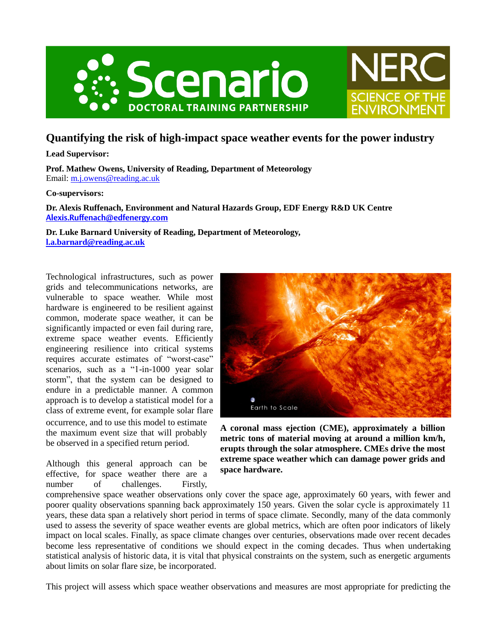



# **Quantifying the risk of high-impact space weather events for the power industry**

**Lead Supervisor:** 

**Prof. Mathew Owens, University of Reading, Department of Meteorology** Email: [m.j.owens@reading.ac.uk](mailto:m.j.owens@reading.ac.uk)

## **Co-supervisors:**

**Dr. Alexis Ruffenach, Environment and Natural Hazards Group, EDF Energy R&D UK Centre [Alexis.Ruffenach@edfenergy.com](mailto:Alexis.Ruffenach@edfenergy.com)**

**Dr. Luke Barnard University of Reading, Department of Meteorology, [l.a.barnard@reading.ac.uk](mailto:l.a.barnard@reading.ac.uk)**

Technological infrastructures, such as power grids and telecommunications networks, are vulnerable to space weather. While most hardware is engineered to be resilient against common, moderate space weather, it can be significantly impacted or even fail during rare, extreme space weather events. Efficiently engineering resilience into critical systems requires accurate estimates of "worst-case" scenarios, such as a "1-in-1000 year solar storm", that the system can be designed to endure in a predictable manner. A common approach is to develop a statistical model for a class of extreme event, for example solar flare occurrence, and to use this model to estimate the maximum event size that will probably be observed in a specified return period.

Although this general approach can be effective, for space weather there are a number of challenges. Firstly,



**A coronal mass ejection (CME), approximately a billion metric tons of material moving at around a million km/h, erupts through the solar atmosphere. CMEs drive the most extreme space weather which can damage power grids and space hardware.**

comprehensive space weather observations only cover the space age, approximately 60 years, with fewer and poorer quality observations spanning back approximately 150 years. Given the solar cycle is approximately 11 years, these data span a relatively short period in terms of space climate. Secondly, many of the data commonly used to assess the severity of space weather events are global metrics, which are often poor indicators of likely impact on local scales. Finally, as space climate changes over centuries, observations made over recent decades become less representative of conditions we should expect in the coming decades. Thus when undertaking statistical analysis of historic data, it is vital that physical constraints on the system, such as energetic arguments about limits on solar flare size, be incorporated.

This project will assess which space weather observations and measures are most appropriate for predicting the